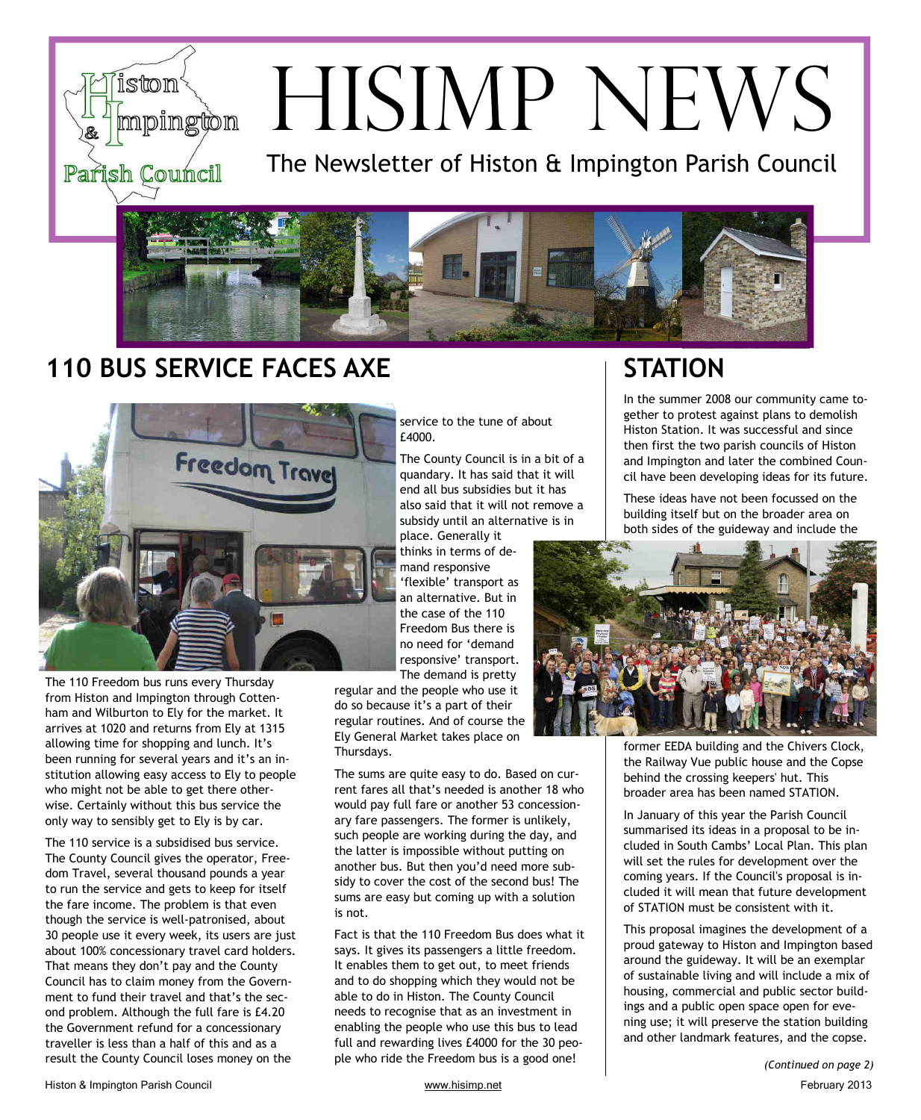# ston mpington Parish Council

# HISIMP NEWS

The Newsletter of Histon & Impington Parish Council



# **110 BUS SERVICE FACES AXE STATION**



The 110 Freedom bus runs every Thursday from Histon and Impington through Cottenham and Wilburton to Ely for the market. It arrives at 1020 and returns from Ely at 1315 allowing time for shopping and lunch. It's been running for several years and it's an institution allowing easy access to Ely to people who might not be able to get there otherwise. Certainly without this bus service the only way to sensibly get to Ely is by car.

The 110 service is a subsidised bus service. The County Council gives the operator, Freedom Travel, several thousand pounds a year to run the service and gets to keep for itself the fare income. The problem is that even though the service is well-patronised, about 30 people use it every week, its users are just about 100% concessionary travel card holders. That means they don't pay and the County Council has to claim money from the Government to fund their travel and that's the second problem. Although the full fare is £4.20 the Government refund for a concessionary traveller is less than a half of this and as a result the County Council loses money on the

service to the tune of about £4000.

The County Council is in a bit of a quandary. It has said that it will end all bus subsidies but it has also said that it will not remove a subsidy until an alternative is in place. Generally it

thinks in terms of demand responsive 'flexible' transport as an alternative. But in the case of the 110 Freedom Bus there is no need for 'demand responsive' transport. The demand is pretty

regular and the people who use it do so because it's a part of their regular routines. And of course the Ely General Market takes place on Thursdays.

The sums are quite easy to do. Based on current fares all that's needed is another 18 who would pay full fare or another 53 concessionary fare passengers. The former is unlikely, such people are working during the day, and the latter is impossible without putting on another bus. But then you'd need more subsidy to cover the cost of the second bus! The sums are easy but coming up with a solution is not.

Fact is that the 110 Freedom Bus does what it says. It gives its passengers a little freedom. It enables them to get out, to meet friends and to do shopping which they would not be able to do in Histon. The County Council needs to recognise that as an investment in enabling the people who use this bus to lead full and rewarding lives £4000 for the 30 people who ride the Freedom bus is a good one!

In the summer 2008 our community came together to protest against plans to demolish Histon Station. It was successful and since then first the two parish councils of Histon and Impington and later the combined Council have been developing ideas for its future.

These ideas have not been focussed on the building itself but on the broader area on both sides of the guideway and include the



former EEDA building and the Chivers Clock, the Railway Vue public house and the Copse behind the crossing keepers' hut. This broader area has been named STATION.

In January of this year the Parish Council summarised its ideas in a proposal to be included in South Cambs' Local Plan. This plan will set the rules for development over the coming years. If the Council's proposal is included it will mean that future development of STATION must be consistent with it.

This proposal imagines the development of a proud gateway to Histon and Impington based around the guideway. It will be an exemplar of sustainable living and will include a mix of housing, commercial and public sector buildings and a public open space open for evening use; it will preserve the station building and other landmark features, and the copse.

*(Continued on page 2)*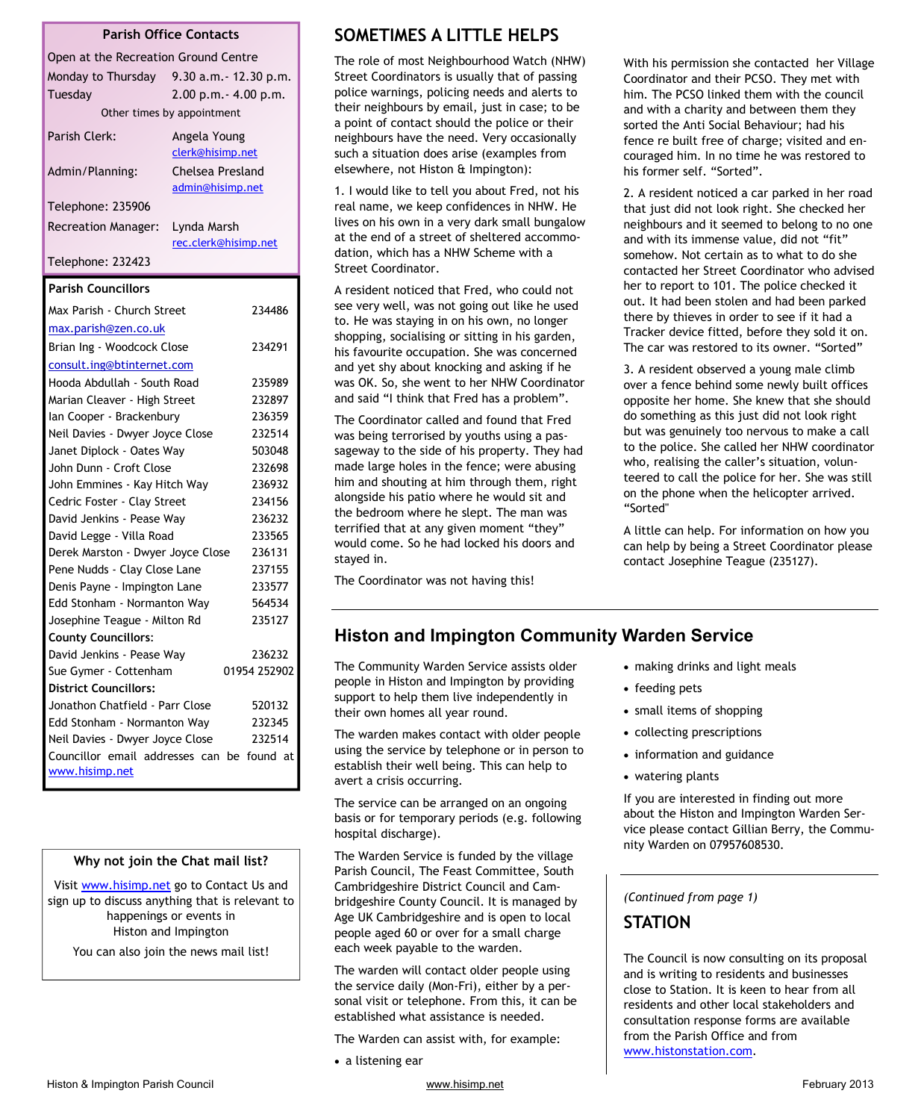| <b>Parish Office Contacts</b>                                       |                        |              |
|---------------------------------------------------------------------|------------------------|--------------|
| Open at the Recreation Ground Centre                                |                        |              |
| Monday to Thursday                                                  | 9.30 a.m. - 12.30 p.m. |              |
| Tuesday                                                             | 2.00 p.m. - 4.00 p.m.  |              |
| Other times by appointment                                          |                        |              |
| Parish Clerk:                                                       | Angela Young           |              |
|                                                                     | clerk@hisimp.net       |              |
| <b>Chelsea Presland</b><br>Admin/Planning:                          |                        |              |
|                                                                     | admin@hisimp.net       |              |
| Telephone: 235906                                                   |                        |              |
| <b>Recreation Manager:</b>                                          | Lynda Marsh            |              |
|                                                                     | rec.clerk@hisimp.net   |              |
| Telephone: 232423                                                   |                        |              |
| <b>Parish Councillors</b>                                           |                        |              |
| Max Parish - Church Street                                          |                        | 234486       |
| max.parish@zen.co.uk                                                |                        |              |
| Brian Ing - Woodcock Close                                          |                        | 234291       |
| consult.ing@btinternet.com                                          |                        |              |
| Hooda Abdullah - South Road                                         |                        | 235989       |
| Marian Cleaver - High Street                                        |                        | 232897       |
| lan Cooper - Brackenbury                                            |                        | 236359       |
| Neil Davies - Dwyer Joyce Close                                     |                        | 232514       |
| Janet Diplock - Oates Way                                           |                        | 503048       |
| John Dunn - Croft Close                                             |                        | 232698       |
| John Emmines - Kay Hitch Way                                        |                        | 236932       |
| Cedric Foster - Clay Street                                         |                        | 234156       |
| David Jenkins - Pease Way                                           |                        | 236232       |
| David Legge - Villa Road                                            |                        | 233565       |
| Derek Marston - Dwyer Joyce Close                                   |                        | 236131       |
| Pene Nudds - Clay Close Lane                                        |                        | 237155       |
| Denis Payne - Impington Lane                                        |                        | 233577       |
| Edd Stonham - Normanton Way                                         |                        | 564534       |
| Josephine Teague - Milton Rd                                        |                        | 235127       |
| <b>County Councillors:</b>                                          |                        |              |
| David Jenkins - Pease Way                                           |                        | 236232       |
| Sue Gymer - Cottenham                                               |                        | 01954 252902 |
| <b>District Councillors:</b>                                        |                        |              |
| Jonathon Chatfield - Parr Close                                     |                        | 520132       |
| Edd Stonham - Normanton Way                                         |                        | 232345       |
| Neil Davies - Dwyer Joyce Close                                     |                        | 232514       |
| Councillor email addresses can be found at<br><u>www.hisimp.net</u> |                        |              |

#### **Why not join the Chat mail list?**

Visit www.hisimp.net go to Contact Us and sign up to discuss anything that is relevant to happenings or events in Histon and Impington You can also join the news mail list!

**SOMETIMES A LITTLE HELPS** 

The role of most Neighbourhood Watch (NHW) Street Coordinators is usually that of passing police warnings, policing needs and alerts to their neighbours by email, just in case; to be a point of contact should the police or their neighbours have the need. Very occasionally such a situation does arise (examples from elsewhere, not Histon & Impington):

1. I would like to tell you about Fred, not his real name, we keep confidences in NHW. He lives on his own in a very dark small bungalow at the end of a street of sheltered accommodation, which has a NHW Scheme with a Street Coordinator.

A resident noticed that Fred, who could not see very well, was not going out like he used to. He was staying in on his own, no longer shopping, socialising or sitting in his garden, his favourite occupation. She was concerned and yet shy about knocking and asking if he was OK. So, she went to her NHW Coordinator and said "I think that Fred has a problem".

The Coordinator called and found that Fred was being terrorised by youths using a passageway to the side of his property. They had made large holes in the fence; were abusing him and shouting at him through them, right alongside his patio where he would sit and the bedroom where he slept. The man was terrified that at any given moment "they" would come. So he had locked his doors and stayed in.

The Coordinator was not having this!

With his permission she contacted her Village Coordinator and their PCSO. They met with him. The PCSO linked them with the council and with a charity and between them they sorted the Anti Social Behaviour; had his fence re built free of charge; visited and encouraged him. In no time he was restored to his former self. "Sorted".

2. A resident noticed a car parked in her road that just did not look right. She checked her neighbours and it seemed to belong to no one and with its immense value, did not "fit" somehow. Not certain as to what to do she contacted her Street Coordinator who advised her to report to 101. The police checked it out. It had been stolen and had been parked there by thieves in order to see if it had a Tracker device fitted, before they sold it on. The car was restored to its owner. "Sorted"

3. A resident observed a young male climb over a fence behind some newly built offices opposite her home. She knew that she should do something as this just did not look right but was genuinely too nervous to make a call to the police. She called her NHW coordinator who, realising the caller's situation, volunteered to call the police for her. She was still on the phone when the helicopter arrived. "Sorted"

A little can help. For information on how you can help by being a Street Coordinator please contact Josephine Teague (235127).

# **Histon and Impington Community Warden Service**

The Community Warden Service assists older people in Histon and Impington by providing support to help them live independently in their own homes all year round.

The warden makes contact with older people using the service by telephone or in person to establish their well being. This can help to avert a crisis occurring.

The service can be arranged on an ongoing basis or for temporary periods (e.g. following hospital discharge).

The Warden Service is funded by the village Parish Council, The Feast Committee, South Cambridgeshire District Council and Cambridgeshire County Council. It is managed by Age UK Cambridgeshire and is open to local people aged 60 or over for a small charge each week payable to the warden.

The warden will contact older people using the service daily (Mon-Fri), either by a personal visit or telephone. From this, it can be established what assistance is needed.

The Warden can assist with, for example:

• a listening ear

- making drinks and light meals
- feeding pets
- small items of shopping
- collecting prescriptions
- information and guidance
- watering plants

If you are interested in finding out more about the Histon and Impington Warden Service please contact Gillian Berry, the Community Warden on 07957608530.

*(Continued from page 1)* 

## **STATION**

The Council is now consulting on its proposal and is writing to residents and businesses close to Station. It is keen to hear from all residents and other local stakeholders and consultation response forms are available from the Parish Office and from www.histonstation.com.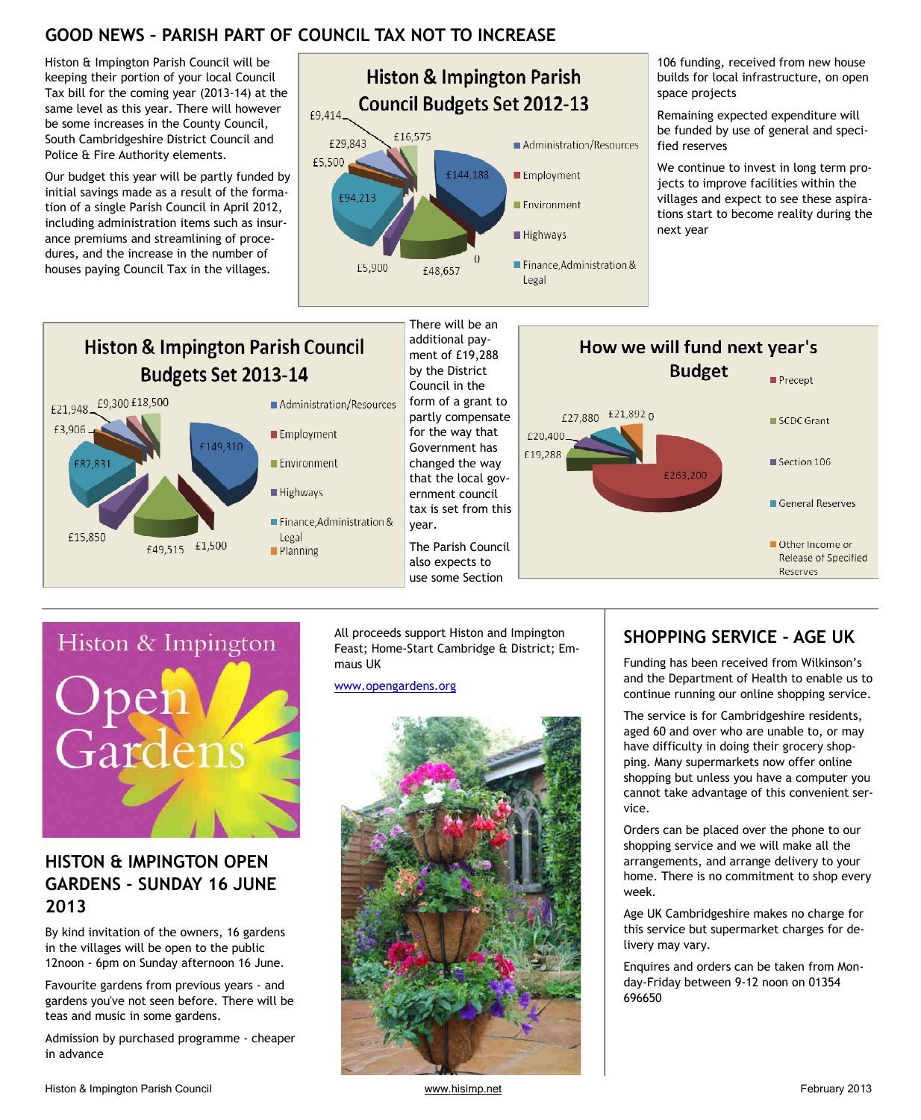# **GOOD NEWS – PARISH PART OF COUNCIL TAX NOT TO INCREASE**

 $\blacksquare$  Planning

Histon & Impington Parish Council will be keeping their portion of your local Council Tax bill for the coming year (2013-14) at the same level as this year. There will however be some increases in the County Council, South Cambridgeshire District Council and Police & Fire Authority elements.

Our budget this year will be partly funded by initial savings made as a result of the formation of a single Parish Council in April 2012, including administration items such as insurance premiums and streamlining of procedures, and the increase in the number of houses paying Council Tax in the villages.



106 funding, received from new house builds for local infrastructure, on open space projects

Remaining expected expenditure will be funded by use of general and specified reserves

We continue to invest in long term projects to improve facilities within the villages and expect to see these aspirations start to become reality during the next year

Precept

SCDC Grant

Section 106

General Reserves

Other Income or

Reserves

Release of Specified

#### There will be an additional pay-**Histon & Impington Parish Council** How we will fund next year's ment of £19,288 **Budget** Budgets Set 2013-14 by the District Council in the £9,300 £18,500 form of a grant to Administration/Resources £21,948 £27,880 £21,892 0 partly compensate £3,906 ■ Employment for the way that £20,400 £149.310 Government has £19,288 Environment changed the way £82,831 £263.200 that the local gov-Highways ernment council tax is set from this ■ Finance, Administration & year. £15,850 Legal £1,500 The Parish Council £49,515



# **HISTON & IMPINGTON OPEN GARDENS - SUNDAY 16 JUNE 2013**

By kind invitation of the owners, 16 gardens in the villages will be open to the public 12noon - 6pm on Sunday afternoon 16 June.

Favourite gardens from previous years - and gardens you've not seen before. There will be teas and music in some gardens.

Admission by purchased programme - cheaper in advance

All proceeds support Histon and Impington Feast; Home-Start Cambridge & District; Emmaus UK

also expects to use some Section

www.opengardens.org



# **SHOPPING SERVICE - AGE UK**

Funding has been received from Wilkinson's and the Department of Health to enable us to continue running our online shopping service.

The service is for Cambridgeshire residents, aged 60 and over who are unable to, or may have difficulty in doing their grocery shopping. Many supermarkets now offer online shopping but unless you have a computer you cannot take advantage of this convenient service.

Orders can be placed over the phone to our shopping service and we will make all the arrangements, and arrange delivery to your home. There is no commitment to shop every week.

Age UK Cambridgeshire makes no charge for this service but supermarket charges for delivery may vary.

Enquires and orders can be taken from Monday-Friday between 9-12 noon on 01354 696650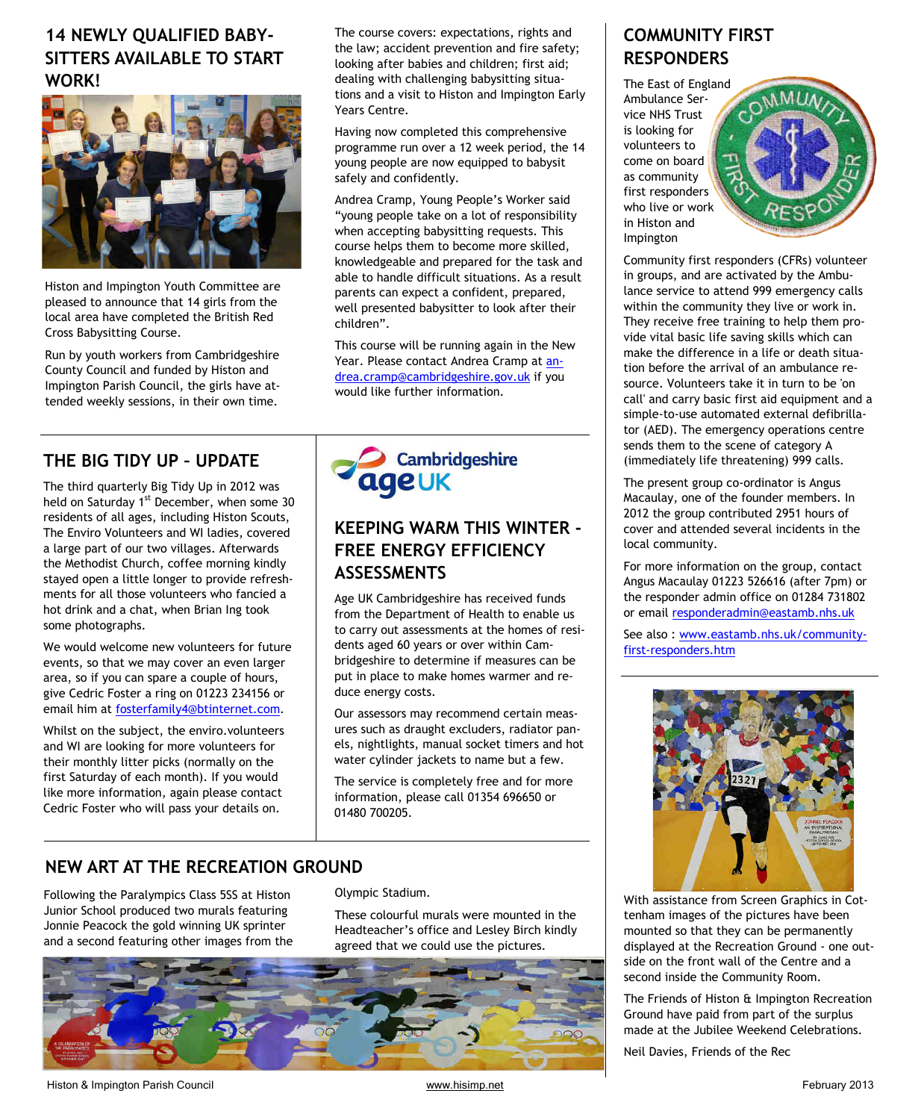# **14 NEWLY QUALIFIED BABY-SITTERS AVAILABLE TO START WORK!**



Histon and Impington Youth Committee are pleased to announce that 14 girls from the local area have completed the British Red Cross Babysitting Course.

Run by youth workers from Cambridgeshire County Council and funded by Histon and Impington Parish Council, the girls have attended weekly sessions, in their own time.

# **THE BIG TIDY UP – UPDATE**

The third quarterly Big Tidy Up in 2012 was held on Saturday 1<sup>st</sup> December, when some 30 residents of all ages, including Histon Scouts, The Enviro Volunteers and WI ladies, covered a large part of our two villages. Afterwards the Methodist Church, coffee morning kindly stayed open a little longer to provide refreshments for all those volunteers who fancied a hot drink and a chat, when Brian Ing took some photographs.

We would welcome new volunteers for future events, so that we may cover an even larger area, so if you can spare a couple of hours, give Cedric Foster a ring on 01223 234156 or email him at fosterfamily4@btinternet.com.

Whilst on the subject, the enviro.volunteers and WI are looking for more volunteers for their monthly litter picks (normally on the first Saturday of each month). If you would like more information, again please contact Cedric Foster who will pass your details on.

The course covers: expectations, rights and the law; accident prevention and fire safety; looking after babies and children; first aid; dealing with challenging babysitting situations and a visit to Histon and Impington Early Years Centre.

Having now completed this comprehensive programme run over a 12 week period, the 14 young people are now equipped to babysit safely and confidently.

Andrea Cramp, Young People's Worker said "young people take on a lot of responsibility when accepting babysitting requests. This course helps them to become more skilled, knowledgeable and prepared for the task and able to handle difficult situations. As a result parents can expect a confident, prepared, well presented babysitter to look after their children".

This course will be running again in the New Year. Please contact Andrea Cramp at andrea.cramp@cambridgeshire.gov.uk if you would like further information.



# **KEEPING WARM THIS WINTER - FREE ENERGY EFFICIENCY ASSESSMENTS**

Age UK Cambridgeshire has received funds from the Department of Health to enable us to carry out assessments at the homes of residents aged 60 years or over within Cambridgeshire to determine if measures can be put in place to make homes warmer and reduce energy costs.

Our assessors may recommend certain measures such as draught excluders, radiator panels, nightlights, manual socket timers and hot water cylinder jackets to name but a few.

The service is completely free and for more information, please call 01354 696650 or 01480 700205.

# **NEW ART AT THE RECREATION GROUND**

Following the Paralympics Class 5SS at Histon Junior School produced two murals featuring Jonnie Peacock the gold winning UK sprinter and a second featuring other images from the

#### Olympic Stadium.

These colourful murals were mounted in the Headteacher's office and Lesley Birch kindly agreed that we could use the pictures.



# **COMMUNITY FIRST RESPONDERS**

The East of England Ambulance Service NHS Trust is looking for volunteers to come on board as community first responders who live or work in Histon and Impington



Community first responders (CFRs) volunteer in groups, and are activated by the Ambulance service to attend 999 emergency calls within the community they live or work in. They receive free training to help them provide vital basic life saving skills which can make the difference in a life or death situation before the arrival of an ambulance resource. Volunteers take it in turn to be 'on call' and carry basic first aid equipment and a simple-to-use automated external defibrillator (AED). The emergency operations centre sends them to the scene of category A (immediately life threatening) 999 calls.

The present group co-ordinator is Angus Macaulay, one of the founder members. In 2012 the group contributed 2951 hours of cover and attended several incidents in the local community.

For more information on the group, contact Angus Macaulay 01223 526616 (after 7pm) or the responder admin office on 01284 731802 or email responderadmin@eastamb.nhs.uk

See also : www.eastamb.nhs.uk/communityfirst-responders.htm



With assistance from Screen Graphics in Cottenham images of the pictures have been mounted so that they can be permanently displayed at the Recreation Ground - one outside on the front wall of the Centre and a second inside the Community Room.

The Friends of Histon & Impington Recreation Ground have paid from part of the surplus made at the Jubilee Weekend Celebrations.

Neil Davies, Friends of the Rec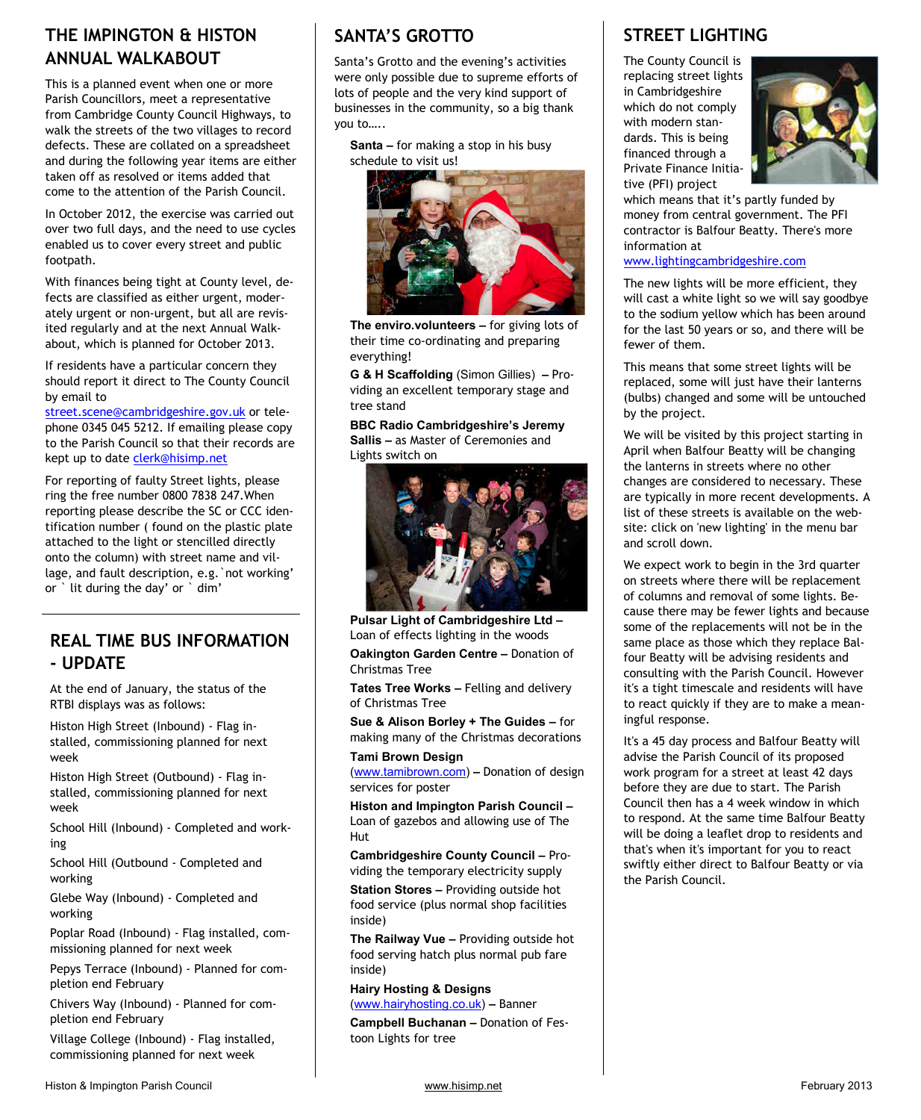# **THE IMPINGTON & HISTON ANNUAL WALKABOUT**

This is a planned event when one or more Parish Councillors, meet a representative from Cambridge County Council Highways, to walk the streets of the two villages to record defects. These are collated on a spreadsheet and during the following year items are either taken off as resolved or items added that come to the attention of the Parish Council.

In October 2012, the exercise was carried out over two full days, and the need to use cycles enabled us to cover every street and public footpath.

With finances being tight at County level, defects are classified as either urgent, moderately urgent or non-urgent, but all are revisited regularly and at the next Annual Walkabout, which is planned for October 2013.

If residents have a particular concern they should report it direct to The County Council by email to

street.scene@cambridgeshire.gov.uk or telephone 0345 045 5212. If emailing please copy to the Parish Council so that their records are kept up to date clerk@hisimp.net

For reporting of faulty Street lights, please ring the free number 0800 7838 247.When reporting please describe the SC or CCC identification number ( found on the plastic plate attached to the light or stencilled directly onto the column) with street name and village, and fault description, e.g.`not working' or ` lit during the day' or ` dim'

# **REAL TIME BUS INFORMATION - UPDATE**

At the end of January, the status of the RTBI displays was as follows:

Histon High Street (Inbound) - Flag installed, commissioning planned for next week

Histon High Street (Outbound) - Flag installed, commissioning planned for next week

School Hill (Inbound) - Completed and working

School Hill (Outbound - Completed and working

Glebe Way (Inbound) - Completed and working

Poplar Road (Inbound) - Flag installed, commissioning planned for next week

Pepys Terrace (Inbound) - Planned for completion end February

Chivers Way (Inbound) - Planned for completion end February

Village College (Inbound) - Flag installed, commissioning planned for next week

### **SANTA'S GROTTO**

Santa's Grotto and the evening's activities were only possible due to supreme efforts of lots of people and the very kind support of businesses in the community, so a big thank you to…..

**Santa –** for making a stop in his busy schedule to visit us!



**The enviro.volunteers –** for giving lots of their time co-ordinating and preparing everything!

**G & H Scaffolding** (Simon Gillies) **–** Providing an excellent temporary stage and tree stand

**BBC Radio Cambridgeshire's Jeremy Sallis –** as Master of Ceremonies and Lights switch on



**Pulsar Light of Cambridgeshire Ltd –** Loan of effects lighting in the woods

**Oakington Garden Centre –** Donation of Christmas Tree

**Tates Tree Works –** Felling and delivery of Christmas Tree

**Sue & Alison Borley + The Guides –** for making many of the Christmas decorations

#### **Tami Brown Design**

(www.tamibrown.com) **–** Donation of design services for poster

**Histon and Impington Parish Council –** Loan of gazebos and allowing use of The Hut

**Cambridgeshire County Council –** Providing the temporary electricity supply **Station Stores –** Providing outside hot food service (plus normal shop facilities

inside)

**The Railway Vue –** Providing outside hot food serving hatch plus normal pub fare inside)

**Hairy Hosting & Designs**  (www.hairyhosting.co.uk) **–** Banner

**Campbell Buchanan –** Donation of Festoon Lights for tree

# **STREET LIGHTING**

The County Council is replacing street lights in Cambridgeshire which do not comply with modern standards. This is being financed through a Private Finance Initiative (PFI) project



which means that it's partly funded by money from central government. The PFI contractor is Balfour Beatty. There's more information at

www.lightingcambridgeshire.com

The new lights will be more efficient, they will cast a white light so we will say goodbye to the sodium yellow which has been around for the last 50 years or so, and there will be fewer of them.

This means that some street lights will be replaced, some will just have their lanterns (bulbs) changed and some will be untouched by the project.

We will be visited by this project starting in April when Balfour Beatty will be changing the lanterns in streets where no other changes are considered to necessary. These are typically in more recent developments. A list of these streets is available on the website: click on 'new lighting' in the menu bar and scroll down.

We expect work to begin in the 3rd quarter on streets where there will be replacement of columns and removal of some lights. Because there may be fewer lights and because some of the replacements will not be in the same place as those which they replace Balfour Beatty will be advising residents and consulting with the Parish Council. However it's a tight timescale and residents will have to react quickly if they are to make a meaningful response.

It's a 45 day process and Balfour Beatty will advise the Parish Council of its proposed work program for a street at least 42 days before they are due to start. The Parish Council then has a 4 week window in which to respond. At the same time Balfour Beatty will be doing a leaflet drop to residents and that's when it's important for you to react swiftly either direct to Balfour Beatty or via the Parish Council.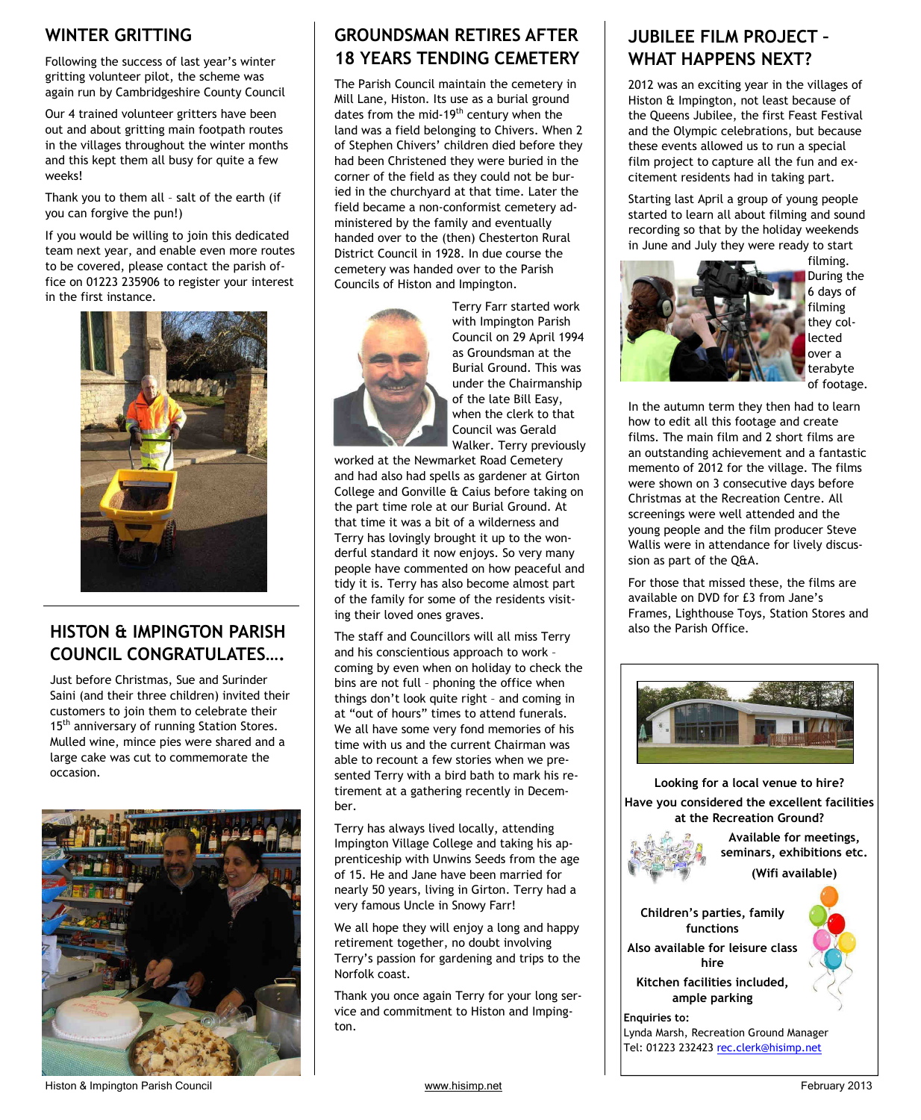# **WINTER GRITTING**

Following the success of last year's winter gritting volunteer pilot, the scheme was again run by Cambridgeshire County Council

Our 4 trained volunteer gritters have been out and about gritting main footpath routes in the villages throughout the winter months and this kept them all busy for quite a few weeks!

Thank you to them all – salt of the earth (if you can forgive the pun!)

If you would be willing to join this dedicated team next year, and enable even more routes to be covered, please contact the parish office on 01223 235906 to register your interest in the first instance.



# **HISTON & IMPINGTON PARISH**  $\parallel$  The staff and Councillors will all miss Terry  $\parallel$  also the Parish Office. **COUNCIL CONGRATULATES….**

Just before Christmas, Sue and Surinder Saini (and their three children) invited their customers to join them to celebrate their 15<sup>th</sup> anniversary of running Station Stores. Mulled wine, mince pies were shared and a large cake was cut to commemorate the occasion.



# **GROUNDSMAN RETIRES AFTER 18 YEARS TENDING CEMETERY**

The Parish Council maintain the cemetery in Mill Lane, Histon. Its use as a burial ground dates from the mid-19<sup>th</sup> century when the land was a field belonging to Chivers. When 2 of Stephen Chivers' children died before they had been Christened they were buried in the corner of the field as they could not be buried in the churchyard at that time. Later the field became a non-conformist cemetery administered by the family and eventually handed over to the (then) Chesterton Rural District Council in 1928. In due course the cemetery was handed over to the Parish Councils of Histon and Impington.



Terry Farr started work with Impington Parish Council on 29 April 1994 as Groundsman at the Burial Ground. This was under the Chairmanship of the late Bill Easy, when the clerk to that Council was Gerald Walker. Terry previously

worked at the Newmarket Road Cemetery and had also had spells as gardener at Girton College and Gonville & Caius before taking on the part time role at our Burial Ground. At that time it was a bit of a wilderness and Terry has lovingly brought it up to the wonderful standard it now enjoys. So very many people have commented on how peaceful and tidy it is. Terry has also become almost part of the family for some of the residents visiting their loved ones graves.

and his conscientious approach to work – coming by even when on holiday to check the bins are not full – phoning the office when things don't look quite right – and coming in at "out of hours" times to attend funerals. We all have some very fond memories of his time with us and the current Chairman was able to recount a few stories when we presented Terry with a bird bath to mark his retirement at a gathering recently in December.

Terry has always lived locally, attending Impington Village College and taking his apprenticeship with Unwins Seeds from the age of 15. He and Jane have been married for nearly 50 years, living in Girton. Terry had a very famous Uncle in Snowy Farr!

We all hope they will enjoy a long and happy retirement together, no doubt involving Terry's passion for gardening and trips to the Norfolk coast.

Thank you once again Terry for your long service and commitment to Histon and Impington.

# **JUBILEE FILM PROJECT – WHAT HAPPENS NEXT?**

2012 was an exciting year in the villages of Histon & Impington, not least because of the Queens Jubilee, the first Feast Festival and the Olympic celebrations, but because these events allowed us to run a special film project to capture all the fun and excitement residents had in taking part.

Starting last April a group of young people started to learn all about filming and sound recording so that by the holiday weekends in June and July they were ready to start



filming. During the 6 days of filming they collected over a terabyte of footage.

In the autumn term they then had to learn how to edit all this footage and create films. The main film and 2 short films are an outstanding achievement and a fantastic memento of 2012 for the village. The films were shown on 3 consecutive days before Christmas at the Recreation Centre. All screenings were well attended and the young people and the film producer Steve Wallis were in attendance for lively discussion as part of the Q&A.

For those that missed these, the films are available on DVD for £3 from Jane's Frames, Lighthouse Toys, Station Stores and



**Looking for a local venue to hire? Have you considered the excellent facilities at the Recreation Ground?** 



**Available for meetings, seminars, exhibitions etc.** 

**(Wifi available)** 

**Children's parties, family functions Also available for leisure class hire Kitchen facilities included, ample parking**

**Enquiries to:**  Lynda Marsh, Recreation Ground Manager Tel: 01223 232423 rec.clerk@hisimp.net

Histon & Impington Parish Council **Example 2013** www.hisimp.net **February 2013**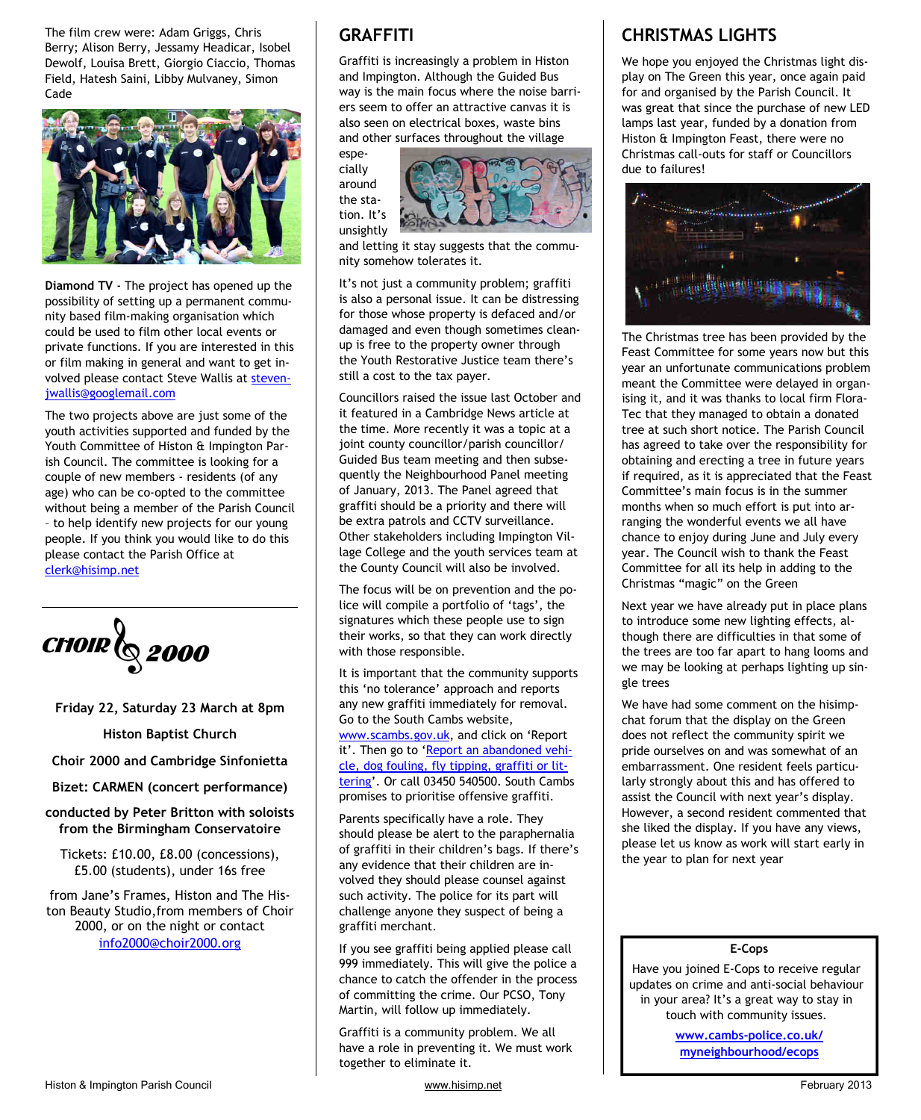The film crew were: Adam Griggs, Chris Berry; Alison Berry, Jessamy Headicar, Isobel Dewolf, Louisa Brett, Giorgio Ciaccio, Thomas Field, Hatesh Saini, Libby Mulvaney, Simon Cade



**Diamond TV** - The project has opened up the possibility of setting up a permanent community based film-making organisation which could be used to film other local events or private functions. If you are interested in this or film making in general and want to get involved please contact Steve Wallis at stevenjwallis@googlemail.com

The two projects above are just some of the youth activities supported and funded by the Youth Committee of Histon & Impington Parish Council. The committee is looking for a couple of new members - residents (of any age) who can be co-opted to the committee without being a member of the Parish Council – to help identify new projects for our young people. If you think you would like to do this please contact the Parish Office at clerk@hisimp.net



**Friday 22, Saturday 23 March at 8pm** 

**Histon Baptist Church** 

**Choir 2000 and Cambridge Sinfonietta** 

**Bizet: CARMEN (concert performance)** 

**conducted by Peter Britton with soloists from the Birmingham Conservatoire** 

Tickets: £10.00, £8.00 (concessions), £5.00 (students), under 16s free

from Jane's Frames, Histon and The Histon Beauty Studio,from members of Choir 2000, or on the night or contact info2000@choir2000.org

# **GRAFFITI**

Graffiti is increasingly a problem in Histon and Impington. Although the Guided Bus way is the main focus where the noise barriers seem to offer an attractive canvas it is also seen on electrical boxes, waste bins and other surfaces throughout the village

especially around the station. It's unsightly



and letting it stay suggests that the community somehow tolerates it.

It's not just a community problem; graffiti is also a personal issue. It can be distressing for those whose property is defaced and/or damaged and even though sometimes cleanup is free to the property owner through the Youth Restorative Justice team there's still a cost to the tax payer.

Councillors raised the issue last October and it featured in a Cambridge News article at the time. More recently it was a topic at a joint county councillor/parish councillor/ Guided Bus team meeting and then subsequently the Neighbourhood Panel meeting of January, 2013. The Panel agreed that graffiti should be a priority and there will be extra patrols and CCTV surveillance. Other stakeholders including Impington Village College and the youth services team at the County Council will also be involved.

The focus will be on prevention and the police will compile a portfolio of 'tags', the signatures which these people use to sign their works, so that they can work directly with those responsible.

It is important that the community supports this 'no tolerance' approach and reports any new graffiti immediately for removal. Go to the South Cambs website, www.scambs.gov.uk, and click on 'Report it'. Then go to 'Report an abandoned vehicle, dog fouling, fly tipping, graffiti or littering'. Or call 03450 540500. South Cambs promises to prioritise offensive graffiti.

Parents specifically have a role. They should please be alert to the paraphernalia of graffiti in their children's bags. If there's any evidence that their children are involved they should please counsel against such activity. The police for its part will challenge anyone they suspect of being a graffiti merchant.

If you see graffiti being applied please call 999 immediately. This will give the police a chance to catch the offender in the process of committing the crime. Our PCSO, Tony Martin, will follow up immediately.

Graffiti is a community problem. We all have a role in preventing it. We must work together to eliminate it.

# **CHRISTMAS LIGHTS**

We hope you enjoyed the Christmas light display on The Green this year, once again paid for and organised by the Parish Council. It was great that since the purchase of new LED lamps last year, funded by a donation from Histon & Impington Feast, there were no Christmas call-outs for staff or Councillors due to failures!



The Christmas tree has been provided by the Feast Committee for some years now but this year an unfortunate communications problem meant the Committee were delayed in organising it, and it was thanks to local firm Flora-Tec that they managed to obtain a donated tree at such short notice. The Parish Council has agreed to take over the responsibility for obtaining and erecting a tree in future years if required, as it is appreciated that the Feast Committee's main focus is in the summer months when so much effort is put into arranging the wonderful events we all have chance to enjoy during June and July every year. The Council wish to thank the Feast Committee for all its help in adding to the Christmas "magic" on the Green

Next year we have already put in place plans to introduce some new lighting effects, although there are difficulties in that some of the trees are too far apart to hang looms and we may be looking at perhaps lighting up single trees

We have had some comment on the hisimpchat forum that the display on the Green does not reflect the community spirit we pride ourselves on and was somewhat of an embarrassment. One resident feels particularly strongly about this and has offered to assist the Council with next year's display. However, a second resident commented that she liked the display. If you have any views, please let us know as work will start early in the year to plan for next year

#### **E-Cops**

Have you joined E-Cops to receive regular updates on crime and anti-social behaviour in your area? It's a great way to stay in touch with community issues.

> **www.cambs-police.co.uk/ myneighbourhood/ecops**